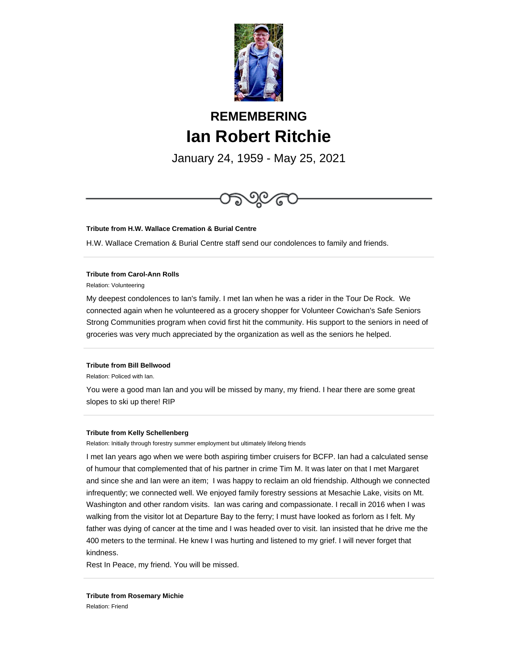

# **REMEMBERING Ian Robert Ritchie**

January 24, 1959 - May 25, 2021



# **Tribute from H.W. Wallace Cremation & Burial Centre**

H.W. Wallace Cremation & Burial Centre staff send our condolences to family and friends.

#### **Tribute from Carol-Ann Rolls**

Relation: Volunteering

My deepest condolences to Ian's family. I met Ian when he was a rider in the Tour De Rock. We connected again when he volunteered as a grocery shopper for Volunteer Cowichan's Safe Seniors Strong Communities program when covid first hit the community. His support to the seniors in need of groceries was very much appreciated by the organization as well as the seniors he helped.

# **Tribute from Bill Bellwood**

Relation: Policed with Ian.

You were a good man Ian and you will be missed by many, my friend. I hear there are some great slopes to ski up there! RIP

## **Tribute from Kelly Schellenberg**

Relation: Initially through forestry summer employment but ultimately lifelong friends

I met Ian years ago when we were both aspiring timber cruisers for BCFP. Ian had a calculated sense of humour that complemented that of his partner in crime Tim M. It was later on that I met Margaret and since she and Ian were an item; I was happy to reclaim an old friendship. Although we connected infrequently; we connected well. We enjoyed family forestry sessions at Mesachie Lake, visits on Mt. Washington and other random visits. Ian was caring and compassionate. I recall in 2016 when I was walking from the visitor lot at Departure Bay to the ferry; I must have looked as forlorn as I felt. My father was dying of cancer at the time and I was headed over to visit. Ian insisted that he drive me the 400 meters to the terminal. He knew I was hurting and listened to my grief. I will never forget that kindness.

Rest In Peace, my friend. You will be missed.

**Tribute from Rosemary Michie** Relation: Friend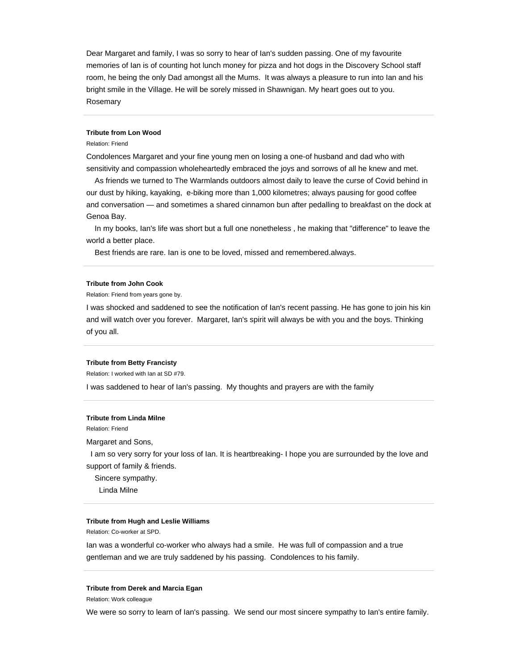Dear Margaret and family, I was so sorry to hear of Ian's sudden passing. One of my favourite memories of Ian is of counting hot lunch money for pizza and hot dogs in the Discovery School staff room, he being the only Dad amongst all the Mums. It was always a pleasure to run into Ian and his bright smile in the Village. He will be sorely missed in Shawnigan. My heart goes out to you. Rosemary

# **Tribute from Lon Wood**

# Relation: Friend

Condolences Margaret and your fine young men on losing a one-of husband and dad who with sensitivity and compassion wholeheartedly embraced the joys and sorrows of all he knew and met.

 As friends we turned to The Warmlands outdoors almost daily to leave the curse of Covid behind in our dust by hiking, kayaking, e-biking more than 1,000 kilometres; always pausing for good coffee and conversation — and sometimes a shared cinnamon bun after pedalling to breakfast on the dock at Genoa Bay.

 In my books, Ian's life was short but a full one nonetheless , he making that "difference" to leave the world a better place.

Best friends are rare. Ian is one to be loved, missed and remembered.always.

#### **Tribute from John Cook**

Relation: Friend from years gone by.

I was shocked and saddened to see the notification of Ian's recent passing. He has gone to join his kin and will watch over you forever. Margaret, Ian's spirit will always be with you and the boys. Thinking of you all.

#### **Tribute from Betty Francisty**

Relation: I worked with Ian at SD #79.

I was saddened to hear of Ian's passing. My thoughts and prayers are with the family

# **Tribute from Linda Milne**

Relation: Friend

Margaret and Sons,

 I am so very sorry for your loss of Ian. It is heartbreaking- I hope you are surrounded by the love and support of family & friends.

Sincere sympathy.

Linda Milne

## **Tribute from Hugh and Leslie Williams**

Relation: Co-worker at SPD.

Ian was a wonderful co-worker who always had a smile. He was full of compassion and a true gentleman and we are truly saddened by his passing. Condolences to his family.

#### **Tribute from Derek and Marcia Egan**

Relation: Work colleague

We were so sorry to learn of Ian's passing. We send our most sincere sympathy to Ian's entire family.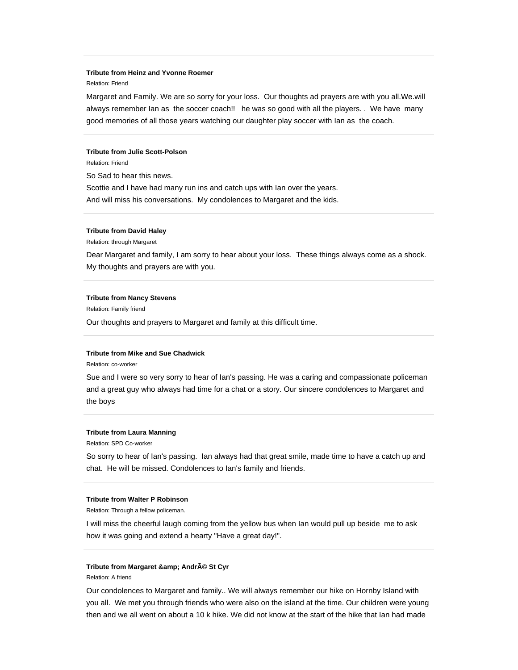## **Tribute from Heinz and Yvonne Roemer**

## Relation: Friend

Margaret and Family. We are so sorry for your loss. Our thoughts ad prayers are with you all.We.will always remember Ian as the soccer coach!! he was so good with all the players. . We have many good memories of all those years watching our daughter play soccer with Ian as the coach.

#### **Tribute from Julie Scott-Polson**

Relation: Friend

So Sad to hear this news. Scottie and I have had many run ins and catch ups with Ian over the years. And will miss his conversations. My condolences to Margaret and the kids.

## **Tribute from David Haley**

Relation: through Margaret

Dear Margaret and family, I am sorry to hear about your loss. These things always come as a shock. My thoughts and prayers are with you.

#### **Tribute from Nancy Stevens**

Relation: Family friend

Our thoughts and prayers to Margaret and family at this difficult time.

# **Tribute from Mike and Sue Chadwick**

Relation: co-worker

Sue and I were so very sorry to hear of Ian's passing. He was a caring and compassionate policeman and a great guy who always had time for a chat or a story. Our sincere condolences to Margaret and the boys

# **Tribute from Laura Manning**

Relation: SPD Co-worker

So sorry to hear of Ian's passing. Ian always had that great smile, made time to have a catch up and chat. He will be missed. Condolences to Ian's family and friends.

## **Tribute from Walter P Robinson**

Relation: Through a fellow policeman.

I will miss the cheerful laugh coming from the yellow bus when Ian would pull up beside me to ask how it was going and extend a hearty "Have a great day!".

# **Tribute from Margaret & amp; André St Cyr**

## Relation: A friend

Our condolences to Margaret and family.. We will always remember our hike on Hornby Island with you all. We met you through friends who were also on the island at the time. Our children were young then and we all went on about a 10 k hike. We did not know at the start of the hike that Ian had made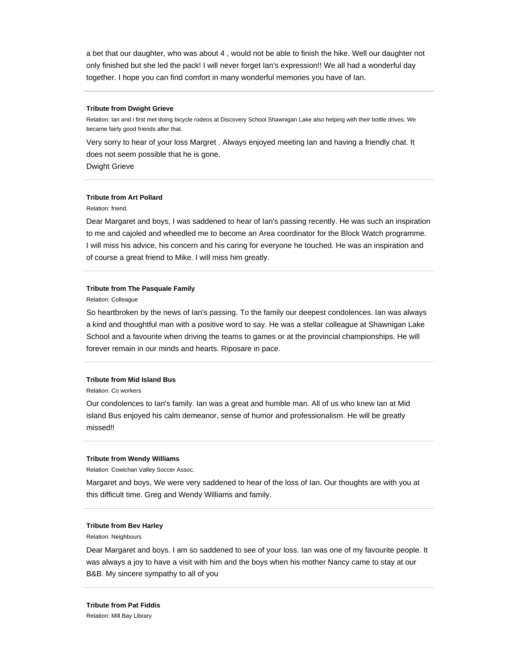a bet that our daughter, who was about 4 , would not be able to finish the hike. Well our daughter not only finished but she led the pack! I will never forget Ian's expression!! We all had a wonderful day together. I hope you can find comfort in many wonderful memories you have of Ian.

#### **Tribute from Dwight Grieve**

Relation: Ian and i first met doing bicycle rodeos at Discovery School Shawnigan Lake also helping with their bottle drives. We became fairly good friends after that.

Very sorry to hear of your loss Margret . Always enjoyed meeting Ian and having a friendly chat. It does not seem possible that he is gone.

Dwight Grieve

# **Tribute from Art Pollard**

Relation: friend.

Dear Margaret and boys, I was saddened to hear of Ian's passing recently. He was such an inspiration to me and cajoled and wheedled me to become an Area coordinator for the Block Watch programme. I will miss his advice, his concern and his caring for everyone he touched. He was an inspiration and of course a great friend to Mike. I will miss him greatly.

# **Tribute from The Pasquale Family**

Relation: Colleague

So heartbroken by the news of Ian's passing. To the family our deepest condolences. Ian was always a kind and thoughtful man with a positive word to say. He was a stellar colleague at Shawnigan Lake School and a favourite when driving the teams to games or at the provincial championships. He will forever remain in our minds and hearts. Riposare in pace.

#### **Tribute from Mid Island Bus**

Relation: Co workers

Our condolences to Ian's family. Ian was a great and humble man. All of us who knew Ian at Mid island Bus enjoyed his calm demeanor, sense of humor and professionalism. He will be greatly missed!!

#### **Tribute from Wendy Williams**

Relation: Cowichan Valley Soccer Assoc.

Margaret and boys, We were very saddened to hear of the loss of Ian. Our thoughts are with you at this difficult time. Greg and Wendy Williams and family.

## **Tribute from Bev Harley**

Relation: Neighbours

Dear Margaret and boys. I am so saddened to see of your loss. Ian was one of my favourite people. It was always a joy to have a visit with him and the boys when his mother Nancy came to stay at our B&B. My sincere sympathy to all of you

**Tribute from Pat Fiddis** Relation: Mill Bay Library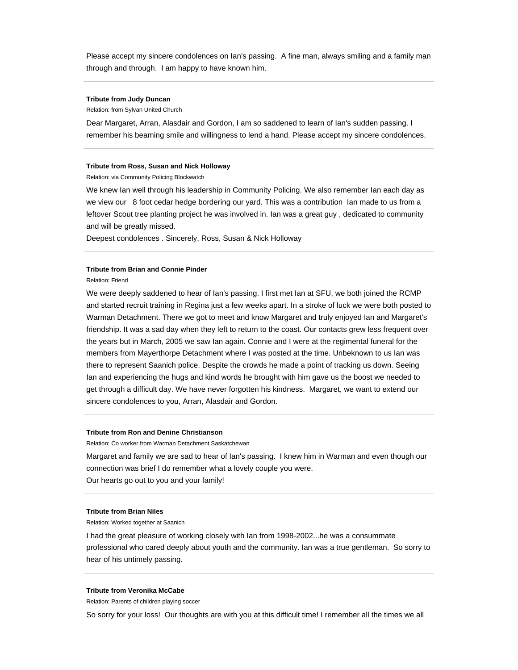Please accept my sincere condolences on Ian's passing. A fine man, always smiling and a family man through and through. I am happy to have known him.

## **Tribute from Judy Duncan**

Relation: from Sylvan United Church

Dear Margaret, Arran, Alasdair and Gordon, I am so saddened to learn of Ian's sudden passing. I remember his beaming smile and willingness to lend a hand. Please accept my sincere condolences.

#### **Tribute from Ross, Susan and Nick Holloway**

Relation: via Community Policing Blockwatch

We knew Ian well through his leadership in Community Policing. We also remember Ian each day as we view our 8 foot cedar hedge bordering our yard. This was a contribution Ian made to us from a leftover Scout tree planting project he was involved in. Ian was a great guy , dedicated to community and will be greatly missed.

Deepest condolences . Sincerely, Ross, Susan & Nick Holloway

# **Tribute from Brian and Connie Pinder**

Relation: Friend

We were deeply saddened to hear of Ian's passing. I first met Ian at SFU, we both joined the RCMP and started recruit training in Regina just a few weeks apart. In a stroke of luck we were both posted to Warman Detachment. There we got to meet and know Margaret and truly enjoyed Ian and Margaret's friendship. It was a sad day when they left to return to the coast. Our contacts grew less frequent over the years but in March, 2005 we saw Ian again. Connie and I were at the regimental funeral for the members from Mayerthorpe Detachment where I was posted at the time. Unbeknown to us Ian was there to represent Saanich police. Despite the crowds he made a point of tracking us down. Seeing Ian and experiencing the hugs and kind words he brought with him gave us the boost we needed to get through a difficult day. We have never forgotten his kindness. Margaret, we want to extend our sincere condolences to you, Arran, Alasdair and Gordon.

# **Tribute from Ron and Denine Christianson**

Relation: Co worker from Warman Detachment Saskatchewan

Margaret and family we are sad to hear of Ian's passing. I knew him in Warman and even though our connection was brief I do remember what a lovely couple you were. Our hearts go out to you and your family!

#### **Tribute from Brian Niles**

Relation: Worked together at Saanich

I had the great pleasure of working closely with Ian from 1998-2002...he was a consummate professional who cared deeply about youth and the community. Ian was a true gentleman. So sorry to hear of his untimely passing.

## **Tribute from Veronika McCabe**

Relation: Parents of children playing soccer

So sorry for your loss! Our thoughts are with you at this difficult time! I remember all the times we all